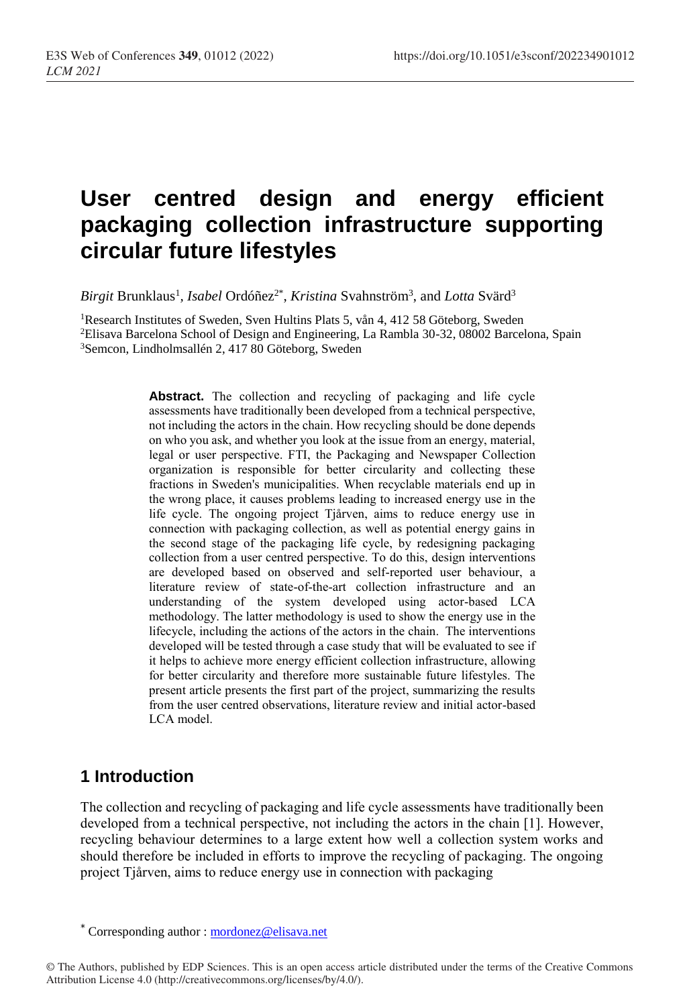# **User centred design and energy efficient packaging collection infrastructure supporting circular future lifestyles**

 $Birgit$  Brunklaus<sup>1</sup>, *Isabel* Ordóñez<sup>2\*</sup>, *Kristina* Svahnström<sup>3</sup>, and Lotta Svärd<sup>3</sup>

<sup>1</sup>Research Institutes of Sweden, Sven Hultins Plats 5, vån 4, 412 58 Göteborg, Sweden <sup>2</sup>Elisava Barcelona School of Design and Engineering, La Rambla 30-32, 08002 Barcelona, Spain <sup>3</sup>Semcon, Lindholmsallén 2, 417 80 Göteborg, Sweden

> **Abstract.** The collection and recycling of packaging and life cycle assessments have traditionally been developed from a technical perspective, not including the actors in the chain. How recycling should be done depends on who you ask, and whether you look at the issue from an energy, material, legal or user perspective. FTI, the Packaging and Newspaper Collection organization is responsible for better circularity and collecting these fractions in Sweden's municipalities. When recyclable materials end up in the wrong place, it causes problems leading to increased energy use in the life cycle. The ongoing project Tjårven, aims to reduce energy use in connection with packaging collection, as well as potential energy gains in the second stage of the packaging life cycle, by redesigning packaging collection from a user centred perspective. To do this, design interventions are developed based on observed and self-reported user behaviour, a literature review of state-of-the-art collection infrastructure and an understanding of the system developed using actor-based LCA methodology. The latter methodology is used to show the energy use in the lifecycle, including the actions of the actors in the chain. The interventions developed will be tested through a case study that will be evaluated to see if it helps to achieve more energy efficient collection infrastructure, allowing for better circularity and therefore more sustainable future lifestyles. The present article presents the first part of the project, summarizing the results from the user centred observations, literature review and initial actor-based LCA model.

# **1 Introduction**

The collection and recycling of packaging and life cycle assessments have traditionally been developed from a technical perspective, not including the actors in the chain [1]. However, recycling behaviour determines to a large extent how well a collection system works and should therefore be included in efforts to improve the recycling of packaging. The ongoing project Tjårven, aims to reduce energy use in connection with packaging

<sup>\*</sup> Corresponding author : mordonez@elisava.net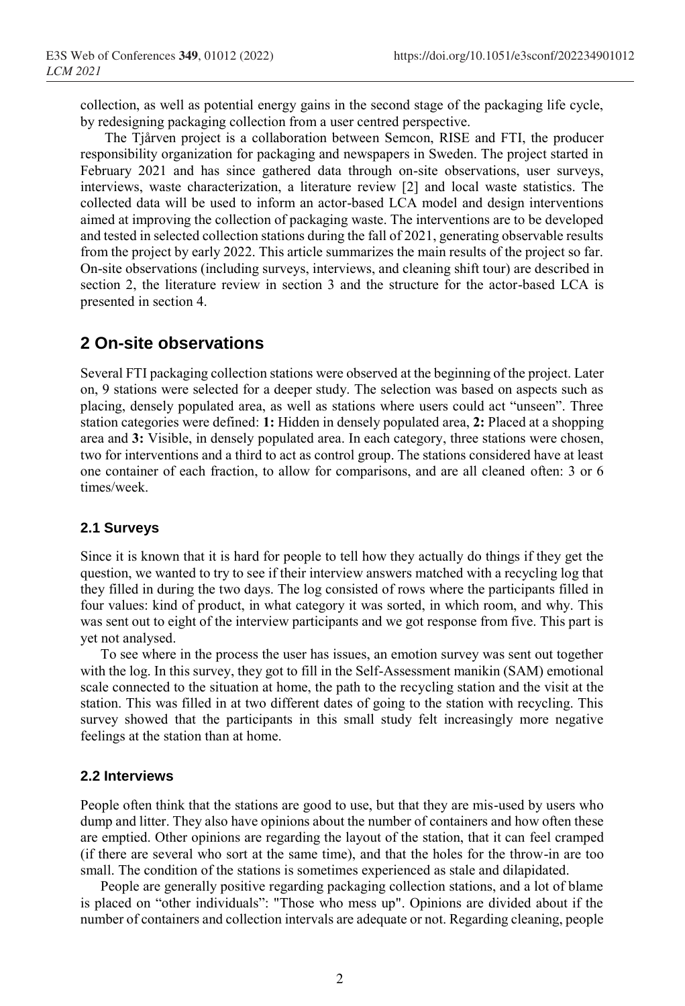collection, as well as potential energy gains in the second stage of the packaging life cycle, by redesigning packaging collection from a user centred perspective.

The Tjårven project is a collaboration between Semcon, RISE and FTI, the producer responsibility organization for packaging and newspapers in Sweden. The project started in February 2021 and has since gathered data through on-site observations, user surveys, interviews, waste characterization, a literature review [2] and local waste statistics. The collected data will be used to inform an actor-based LCA model and design interventions aimed at improving the collection of packaging waste. The interventions are to be developed and tested in selected collection stations during the fall of 2021, generating observable results from the project by early 2022. This article summarizes the main results of the project so far. On-site observations (including surveys, interviews, and cleaning shift tour) are described in section 2, the literature review in section 3 and the structure for the actor-based LCA is presented in section 4.

### **2 On-site observations**

Several FTI packaging collection stations were observed at the beginning of the project. Later on, 9 stations were selected for a deeper study. The selection was based on aspects such as placing, densely populated area, as well as stations where users could act "unseen". Three station categories were defined: **1:** Hidden in densely populated area, **2:** Placed at a shopping area and **3:** Visible, in densely populated area. In each category, three stations were chosen, two for interventions and a third to act as control group. The stations considered have at least one container of each fraction, to allow for comparisons, and are all cleaned often: 3 or 6 times/week.

#### **2.1 Surveys**

Since it is known that it is hard for people to tell how they actually do things if they get the question, we wanted to try to see if their interview answers matched with a recycling log that they filled in during the two days. The log consisted of rows where the participants filled in four values: kind of product, in what category it was sorted, in which room, and why. This was sent out to eight of the interview participants and we got response from five. This part is yet not analysed.

To see where in the process the user has issues, an emotion survey was sent out together with the log. In this survey, they got to fill in the Self-Assessment manikin (SAM) emotional scale connected to the situation at home, the path to the recycling station and the visit at the station. This was filled in at two different dates of going to the station with recycling. This survey showed that the participants in this small study felt increasingly more negative feelings at the station than at home.

#### **2.2 Interviews**

People often think that the stations are good to use, but that they are mis-used by users who dump and litter. They also have opinions about the number of containers and how often these are emptied. Other opinions are regarding the layout of the station, that it can feel cramped (if there are several who sort at the same time), and that the holes for the throw-in are too small. The condition of the stations is sometimes experienced as stale and dilapidated.

People are generally positive regarding packaging collection stations, and a lot of blame is placed on "other individuals": "Those who mess up". Opinions are divided about if the number of containers and collection intervals are adequate or not. Regarding cleaning, people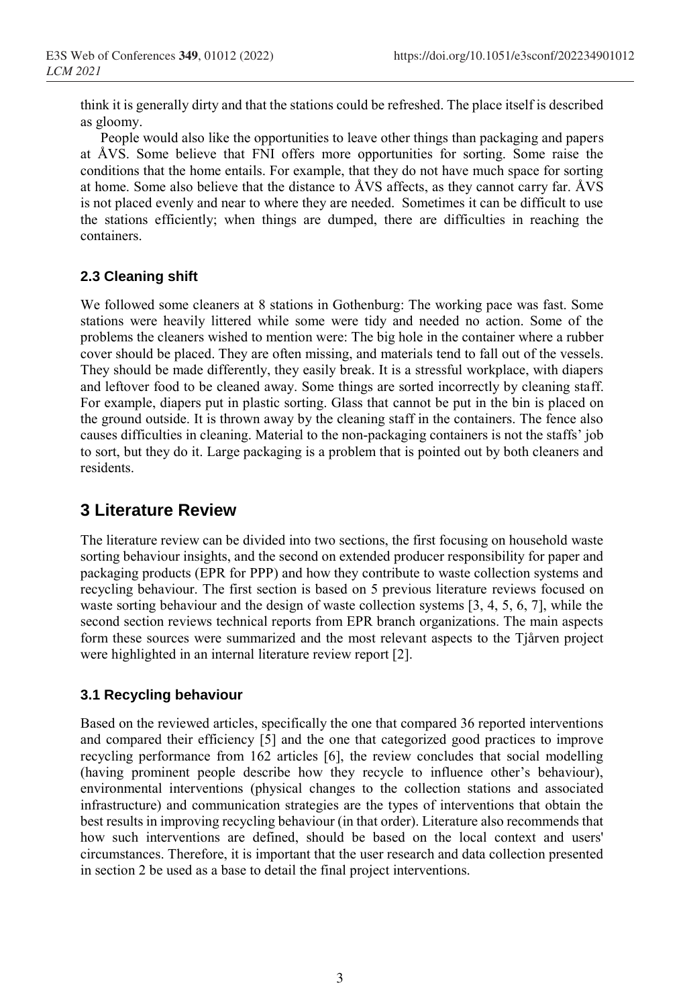think it is generally dirty and that the stations could be refreshed. The place itself is described as gloomy.

People would also like the opportunities to leave other things than packaging and papers at ÅVS. Some believe that FNI offers more opportunities for sorting. Some raise the conditions that the home entails. For example, that they do not have much space for sorting at home. Some also believe that the distance to ÅVS affects, as they cannot carry far. ÅVS is not placed evenly and near to where they are needed. Sometimes it can be difficult to use the stations efficiently; when things are dumped, there are difficulties in reaching the containers.

### **2.3 Cleaning shift**

We followed some cleaners at 8 stations in Gothenburg: The working pace was fast. Some stations were heavily littered while some were tidy and needed no action. Some of the problems the cleaners wished to mention were: The big hole in the container where a rubber cover should be placed. They are often missing, and materials tend to fall out of the vessels. They should be made differently, they easily break. It is a stressful workplace, with diapers and leftover food to be cleaned away. Some things are sorted incorrectly by cleaning staff. For example, diapers put in plastic sorting. Glass that cannot be put in the bin is placed on the ground outside. It is thrown away by the cleaning staff in the containers. The fence also causes difficulties in cleaning. Material to the non-packaging containers is not the staffs' job to sort, but they do it. Large packaging is a problem that is pointed out by both cleaners and residents.

## **3 Literature Review**

The literature review can be divided into two sections, the first focusing on household waste sorting behaviour insights, and the second on extended producer responsibility for paper and packaging products (EPR for PPP) and how they contribute to waste collection systems and recycling behaviour. The first section is based on 5 previous literature reviews focused on waste sorting behaviour and the design of waste collection systems [3, 4, 5, 6, 7], while the second section reviews technical reports from EPR branch organizations. The main aspects form these sources were summarized and the most relevant aspects to the Tjårven project were highlighted in an internal literature review report [2].

### **3.1 Recycling behaviour**

Based on the reviewed articles, specifically the one that compared 36 reported interventions and compared their efficiency [5] and the one that categorized good practices to improve recycling performance from 162 articles [6], the review concludes that social modelling (having prominent people describe how they recycle to influence other's behaviour), environmental interventions (physical changes to the collection stations and associated infrastructure) and communication strategies are the types of interventions that obtain the best results in improving recycling behaviour (in that order). Literature also recommends that how such interventions are defined, should be based on the local context and users' circumstances. Therefore, it is important that the user research and data collection presented in section 2 be used as a base to detail the final project interventions.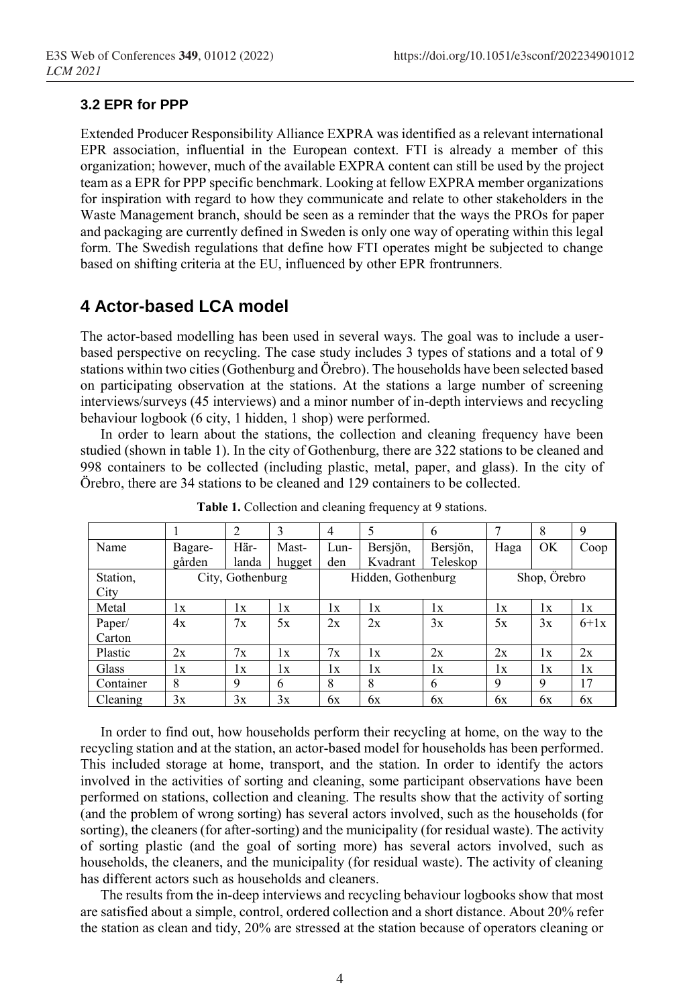#### **3.2 EPR for PPP**

Extended Producer Responsibility Alliance EXPRA was identified as a relevant international EPR association, influential in the European context. FTI is already a member of this organization; however, much of the available EXPRA content can still be used by the project team as a EPR for PPP specific benchmark. Looking at fellow EXPRA member organizations for inspiration with regard to how they communicate and relate to other stakeholders in the Waste Management branch, should be seen as a reminder that the ways the PROs for paper and packaging are currently defined in Sweden is only one way of operating within this legal form. The Swedish regulations that define how FTI operates might be subjected to change based on shifting criteria at the EU, influenced by other EPR frontrunners.

# **4 Actor-based LCA model**

The actor-based modelling has been used in several ways. The goal was to include a userbased perspective on recycling. The case study includes 3 types of stations and a total of 9 stations within two cities (Gothenburg and Örebro). The households have been selected based on participating observation at the stations. At the stations a large number of screening interviews/surveys (45 interviews) and a minor number of in-depth interviews and recycling behaviour logbook (6 city, 1 hidden, 1 shop) were performed.

In order to learn about the stations, the collection and cleaning frequency have been studied (shown in table 1). In the city of Gothenburg, there are 322 stations to be cleaned and 998 containers to be collected (including plastic, metal, paper, and glass). In the city of Örebro, there are 34 stations to be cleaned and 129 containers to be collected.

|                  |                  | $\overline{2}$ |        | $\overline{4}$     | 5        | <sub>b</sub> |              | 8         | 9      |
|------------------|------------------|----------------|--------|--------------------|----------|--------------|--------------|-----------|--------|
| Name             | Bagare-          | Här-           | Mast-  | Lun-               | Bersjön, | Bersjön,     | Haga         | <b>OK</b> | Coop   |
|                  | gården           | landa          | hugget | den                | Kvadrant | Teleskop     |              |           |        |
| Station,<br>City | City, Gothenburg |                |        | Hidden, Gothenburg |          |              | Shop, Örebro |           |        |
| Metal            | 1x               | 1x             | 1x     | 1x                 | 1x       | 1x           | 1x           | 1x        | 1x     |
| Paper/<br>Carton | 4x               | 7x             | 5x     | 2x                 | 2x       | 3x           | 5x           | 3x        | $6+1x$ |
| Plastic          | 2x               | 7x             | 1x     | 7x                 | 1x       | 2x           | 2x           | 1x        | 2x     |
| Glass            | 1x               | 1x             | 1x     | lх                 | 1x       | 1x           | lх           | 1x        | 1x     |
| Container        | 8                | 9              | 6      | 8                  | 8        | 6            | 9            | 9         | 17     |
| Cleaning         | 3x               | 3x             | 3x     | 6x                 | 6x       | 6x           | 6x           | 6x        | 6x     |

**Table 1.** Collection and cleaning frequency at 9 stations.

In order to find out, how households perform their recycling at home, on the way to the recycling station and at the station, an actor-based model for households has been performed. This included storage at home, transport, and the station. In order to identify the actors involved in the activities of sorting and cleaning, some participant observations have been performed on stations, collection and cleaning. The results show that the activity of sorting (and the problem of wrong sorting) has several actors involved, such as the households (for sorting), the cleaners (for after-sorting) and the municipality (for residual waste). The activity of sorting plastic (and the goal of sorting more) has several actors involved, such as households, the cleaners, and the municipality (for residual waste). The activity of cleaning has different actors such as households and cleaners.

The results from the in-deep interviews and recycling behaviour logbooks show that most are satisfied about a simple, control, ordered collection and a short distance. About 20% refer the station as clean and tidy, 20% are stressed at the station because of operators cleaning or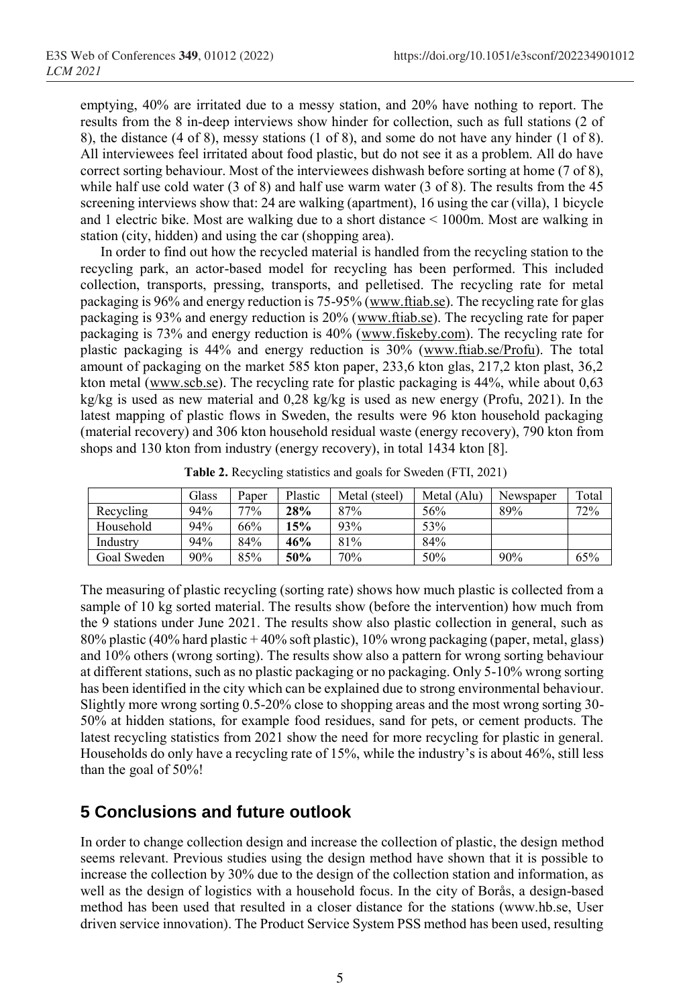emptying, 40% are irritated due to a messy station, and 20% have nothing to report. The results from the 8 in-deep interviews show hinder for collection, such as full stations (2 of 8), the distance (4 of 8), messy stations (1 of 8), and some do not have any hinder (1 of 8). All interviewees feel irritated about food plastic, but do not see it as a problem. All do have correct sorting behaviour. Most of the interviewees dishwash before sorting at home (7 of 8), while half use cold water (3 of 8) and half use warm water (3 of 8). The results from the 45 screening interviews show that: 24 are walking (apartment), 16 using the car (villa), 1 bicycle and 1 electric bike. Most are walking due to a short distance < 1000m. Most are walking in station (city, hidden) and using the car (shopping area).

In order to find out how the recycled material is handled from the recycling station to the recycling park, an actor-based model for recycling has been performed. This included collection, transports, pressing, transports, and pelletised. The recycling rate for metal packaging is 96% and energy reduction is 75-95% [\(www.ftiab.se\)](http://www.ftiab.se/). The recycling rate for glas packaging is 93% and energy reduction is 20% [\(www.ftiab.se\)](http://www.ftiab.se/). The recycling rate for paper packaging is 73% and energy reduction is 40% [\(www.fiskeby.com\)](http://www.fiskeby.com/). The recycling rate for plastic packaging is 44% and energy reduction is 30% [\(www.ftiab.se/Profu\)](http://www.ftiab.se/Profu). The total amount of packaging on the market 585 kton paper, 233,6 kton glas, 217,2 kton plast, 36,2 kton metal ( $\frac{www.scb.se}{s}$ ). The recycling rate for plastic packaging is 44%, while about 0,63 kg/kg is used as new material and 0,28 kg/kg is used as new energy (Profu, 2021). In the latest mapping of plastic flows in Sweden, the results were 96 kton household packaging (material recovery) and 306 kton household residual waste (energy recovery), 790 kton from shops and 130 kton from industry (energy recovery), in total 1434 kton [8].

|             | Glass | Paner  | Plastic | Metal (steel) | Metal (Alu) | Newspaper | Total |
|-------------|-------|--------|---------|---------------|-------------|-----------|-------|
| Recycling   | 94%   | $77\%$ | 28%     | 87%           | 56%         | 89%       | 72%   |
| Household   | 94%   | 66%    | 15%     | 93%           | 53%         |           |       |
| Industrv    | 94%   | 84%    | 46%     | 81%           | 84%         |           |       |
| Goal Sweden | 90%   | 85%    | 50%     | 70%           | 50%         | 90%       | 65%   |

**Table 2.** Recycling statistics and goals for Sweden (FTI, 2021)

The measuring of plastic recycling (sorting rate) shows how much plastic is collected from a sample of 10 kg sorted material. The results show (before the intervention) how much from the 9 stations under June 2021. The results show also plastic collection in general, such as 80% plastic (40% hard plastic + 40% soft plastic), 10% wrong packaging (paper, metal, glass) and 10% others (wrong sorting). The results show also a pattern for wrong sorting behaviour at different stations, such as no plastic packaging or no packaging. Only 5-10% wrong sorting has been identified in the city which can be explained due to strong environmental behaviour. Slightly more wrong sorting 0.5-20% close to shopping areas and the most wrong sorting 30- 50% at hidden stations, for example food residues, sand for pets, or cement products. The latest recycling statistics from 2021 show the need for more recycling for plastic in general. Households do only have a recycling rate of 15%, while the industry's is about 46%, still less than the goal of 50%!

# **5 Conclusions and future outlook**

In order to change collection design and increase the collection of plastic, the design method seems relevant. Previous studies using the design method have shown that it is possible to increase the collection by 30% due to the design of the collection station and information, as well as the design of logistics with a household focus. In the city of Borås, a design-based method has been used that resulted in a closer distance for the stations (www.hb.se, User driven service innovation). The Product Service System PSS method has been used, resulting